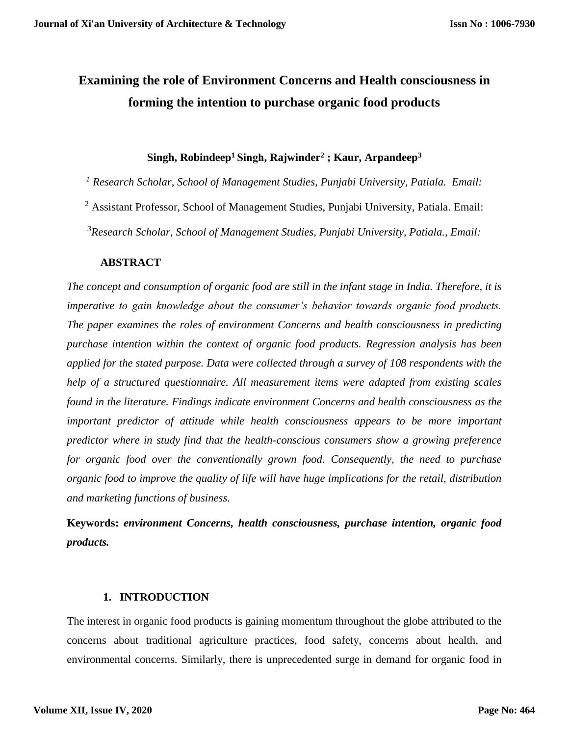# **Examining the role of Environment Concerns and Health consciousness in forming the intention to purchase organic food products**

# **Singh, Robindeep<sup>1</sup>Singh, Rajwinder<sup>2</sup> ; Kaur, Arpandeep<sup>3</sup>**

*<sup>1</sup> Research Scholar, School of Management Studies, Punjabi University, Patiala. Email:* 

<sup>2</sup> Assistant Professor, School of Management Studies, Punjabi University, Patiala. Email:

*<sup>3</sup>Research Scholar, School of Management Studies, Punjabi University, Patiala., Email:* 

# **ABSTRACT**

*The concept and consumption of organic food are still in the infant stage in India. Therefore, it is imperative to gain knowledge about the consumer's behavior towards organic food products. The paper examines the roles of environment Concerns and health consciousness in predicting purchase intention within the context of organic food products. Regression analysis has been applied for the stated purpose. Data were collected through a survey of 108 respondents with the help of a structured questionnaire. All measurement items were adapted from existing scales found in the literature. Findings indicate environment Concerns and health consciousness as the important predictor of attitude while health consciousness appears to be more important predictor where in study find that the health-conscious consumers show a growing preference for organic food over the conventionally grown food. Consequently, the need to purchase organic food to improve the quality of life will have huge implications for the retail, distribution and marketing functions of business.*

**Keywords:** *environment Concerns, health consciousness, purchase intention, organic food products.*

# **1. INTRODUCTION**

The interest in organic food products is gaining momentum throughout the globe attributed to the concerns about traditional agriculture practices, food safety, concerns about health, and environmental concerns. Similarly, there is unprecedented surge in demand for organic food in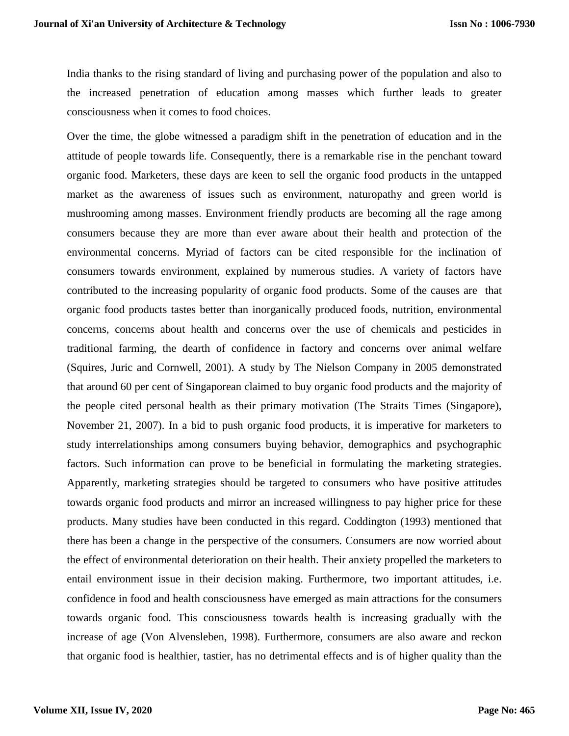India thanks to the rising standard of living and purchasing power of the population and also to the increased penetration of education among masses which further leads to greater consciousness when it comes to food choices.

Over the time, the globe witnessed a paradigm shift in the penetration of education and in the attitude of people towards life. Consequently, there is a remarkable rise in the penchant toward organic food. Marketers, these days are keen to sell the organic food products in the untapped market as the awareness of issues such as environment, naturopathy and green world is mushrooming among masses. Environment friendly products are becoming all the rage among consumers because they are more than ever aware about their health and protection of the environmental concerns. Myriad of factors can be cited responsible for the inclination of consumers towards environment, explained by numerous studies. A variety of factors have contributed to the increasing popularity of organic food products. Some of the causes are that organic food products tastes better than inorganically produced foods, nutrition, environmental concerns, concerns about health and concerns over the use of chemicals and pesticides in traditional farming, the dearth of confidence in factory and concerns over animal welfare (Squires, Juric and Cornwell, 2001). A study by The Nielson Company in 2005 demonstrated that around 60 per cent of Singaporean claimed to buy organic food products and the majority of the people cited personal health as their primary motivation (The Straits Times (Singapore), November 21, 2007). In a bid to push organic food products, it is imperative for marketers to study interrelationships among consumers buying behavior, demographics and psychographic factors. Such information can prove to be beneficial in formulating the marketing strategies. Apparently, marketing strategies should be targeted to consumers who have positive attitudes towards organic food products and mirror an increased willingness to pay higher price for these products. Many studies have been conducted in this regard. Coddington (1993) mentioned that there has been a change in the perspective of the consumers. Consumers are now worried about the effect of environmental deterioration on their health. Their anxiety propelled the marketers to entail environment issue in their decision making. Furthermore, two important attitudes, i.e. confidence in food and health consciousness have emerged as main attractions for the consumers towards organic food. This consciousness towards health is increasing gradually with the increase of age (Von Alvensleben, 1998). Furthermore, consumers are also aware and reckon that organic food is healthier, tastier, has no detrimental effects and is of higher quality than the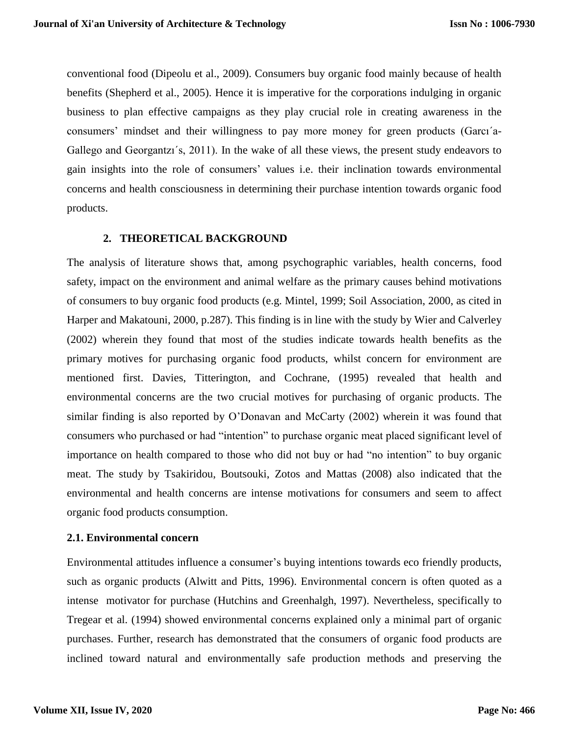conventional food (Dipeolu et al., 2009). Consumers buy organic food mainly because of health benefits (Shepherd et al., 2005). Hence it is imperative for the corporations indulging in organic business to plan effective campaigns as they play crucial role in creating awareness in the consumers' mindset and their willingness to pay more money for green products (Garcı´a-Gallego and Georgantzı´s, 2011). In the wake of all these views, the present study endeavors to gain insights into the role of consumers' values i.e. their inclination towards environmental concerns and health consciousness in determining their purchase intention towards organic food products.

## **2. THEORETICAL BACKGROUND**

The analysis of literature shows that, among psychographic variables, health concerns, food safety, impact on the environment and animal welfare as the primary causes behind motivations of consumers to buy organic food products (e.g. Mintel, 1999; Soil Association, 2000, as cited in Harper and Makatouni, 2000, p.287). This finding is in line with the study by Wier and Calverley (2002) wherein they found that most of the studies indicate towards health benefits as the primary motives for purchasing organic food products, whilst concern for environment are mentioned first. Davies, Titterington, and Cochrane, (1995) revealed that health and environmental concerns are the two crucial motives for purchasing of organic products. The similar finding is also reported by O'Donavan and McCarty (2002) wherein it was found that consumers who purchased or had "intention" to purchase organic meat placed significant level of importance on health compared to those who did not buy or had "no intention" to buy organic meat. The study by Tsakiridou, Boutsouki, Zotos and Mattas (2008) also indicated that the environmental and health concerns are intense motivations for consumers and seem to affect organic food products consumption.

### **2.1. Environmental concern**

Environmental attitudes influence a consumer's buying intentions towards eco friendly products, such as organic products (Alwitt and Pitts, 1996). Environmental concern is often quoted as a intense motivator for purchase (Hutchins and Greenhalgh, 1997). Nevertheless, specifically to Tregear et al. (1994) showed environmental concerns explained only a minimal part of organic purchases. Further, research has demonstrated that the consumers of organic food products are inclined toward natural and environmentally safe production methods and preserving the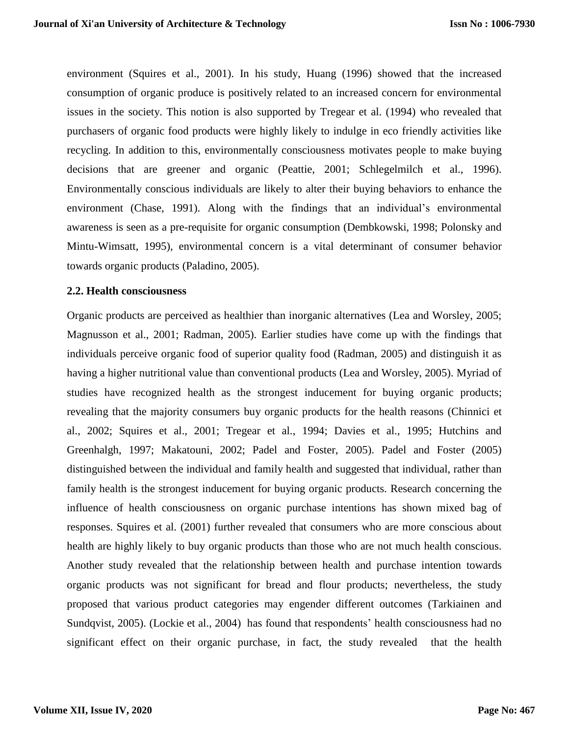environment (Squires et al., 2001). In his study, Huang (1996) showed that the increased consumption of organic produce is positively related to an increased concern for environmental issues in the society. This notion is also supported by Tregear et al. (1994) who revealed that purchasers of organic food products were highly likely to indulge in eco friendly activities like recycling. In addition to this, environmentally consciousness motivates people to make buying decisions that are greener and organic (Peattie, 2001; Schlegelmilch et al., 1996). Environmentally conscious individuals are likely to alter their buying behaviors to enhance the environment (Chase, 1991). Along with the findings that an individual's environmental awareness is seen as a pre-requisite for organic consumption (Dembkowski, 1998; Polonsky and Mintu-Wimsatt, 1995), environmental concern is a vital determinant of consumer behavior towards organic products (Paladino, 2005).

### **2.2. Health consciousness**

Organic products are perceived as healthier than inorganic alternatives (Lea and Worsley, 2005; Magnusson et al., 2001; Radman, 2005). Earlier studies have come up with the findings that individuals perceive organic food of superior quality food (Radman, 2005) and distinguish it as having a higher nutritional value than conventional products (Lea and Worsley, 2005). Myriad of studies have recognized health as the strongest inducement for buying organic products; revealing that the majority consumers buy organic products for the health reasons (Chinnici et al., 2002; Squires et al., 2001; Tregear et al., 1994; Davies et al., 1995; Hutchins and Greenhalgh, 1997; Makatouni, 2002; Padel and Foster, 2005). Padel and Foster (2005) distinguished between the individual and family health and suggested that individual, rather than family health is the strongest inducement for buying organic products. Research concerning the influence of health consciousness on organic purchase intentions has shown mixed bag of responses. Squires et al. (2001) further revealed that consumers who are more conscious about health are highly likely to buy organic products than those who are not much health conscious. Another study revealed that the relationship between health and purchase intention towards organic products was not significant for bread and flour products; nevertheless, the study proposed that various product categories may engender different outcomes (Tarkiainen and Sundqvist, 2005). (Lockie et al., 2004) has found that respondents' health consciousness had no significant effect on their organic purchase, in fact, the study revealed that the health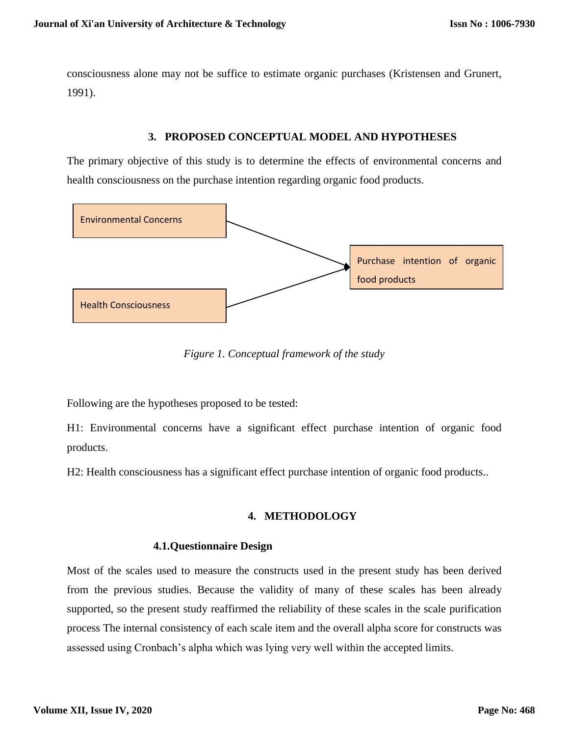consciousness alone may not be suffice to estimate organic purchases (Kristensen and Grunert, 1991).

## **3. PROPOSED CONCEPTUAL MODEL AND HYPOTHESES**

The primary objective of this study is to determine the effects of environmental concerns and health consciousness on the purchase intention regarding organic food products.



*Figure 1. Conceptual framework of the study*

Following are the hypotheses proposed to be tested:

H1: Environmental concerns have a significant effect purchase intention of organic food products.

H2: Health consciousness has a significant effect purchase intention of organic food products..

# **4. METHODOLOGY**

# **4.1.Questionnaire Design**

Most of the scales used to measure the constructs used in the present study has been derived from the previous studies. Because the validity of many of these scales has been already supported, so the present study reaffirmed the reliability of these scales in the scale purification process The internal consistency of each scale item and the overall alpha score for constructs was assessed using Cronbach's alpha which was lying very well within the accepted limits.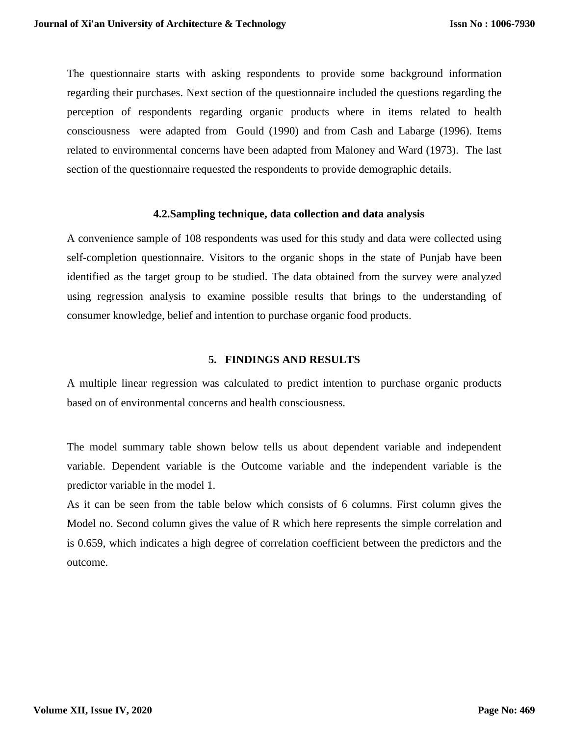The questionnaire starts with asking respondents to provide some background information regarding their purchases. Next section of the questionnaire included the questions regarding the perception of respondents regarding organic products where in items related to health consciousness were adapted from Gould (1990) and from Cash and Labarge (1996). Items related to environmental concerns have been adapted from Maloney and Ward (1973). The last section of the questionnaire requested the respondents to provide demographic details.

#### **4.2.Sampling technique, data collection and data analysis**

A convenience sample of 108 respondents was used for this study and data were collected using self-completion questionnaire. Visitors to the organic shops in the state of Punjab have been identified as the target group to be studied. The data obtained from the survey were analyzed using regression analysis to examine possible results that brings to the understanding of consumer knowledge, belief and intention to purchase organic food products.

### **5. FINDINGS AND RESULTS**

A multiple linear regression was calculated to predict intention to purchase organic products based on of environmental concerns and health consciousness.

The model summary table shown below tells us about dependent variable and independent variable. Dependent variable is the Outcome variable and the independent variable is the predictor variable in the model 1.

As it can be seen from the table below which consists of 6 columns. First column gives the Model no. Second column gives the value of R which here represents the simple correlation and is 0.659, which indicates a high degree of correlation coefficient between the predictors and the outcome.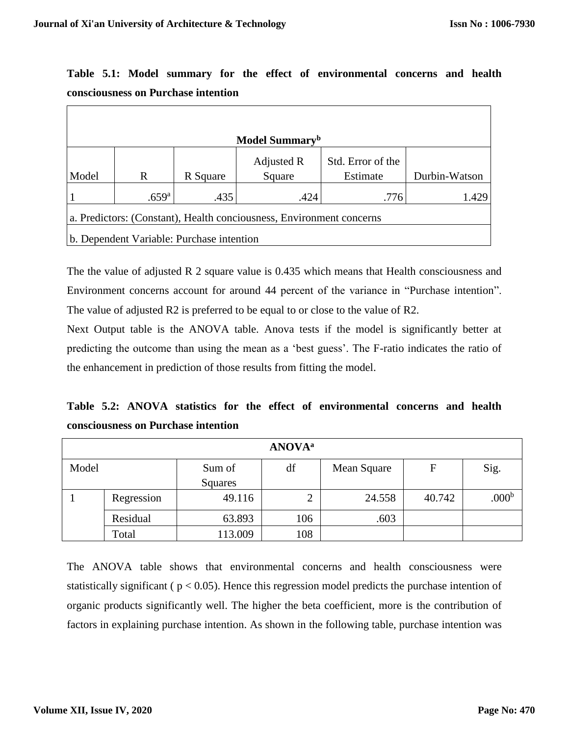| consciousness on 1 ul chase michinon |                            |                                           |                                                                      |                   |               |  |  |  |
|--------------------------------------|----------------------------|-------------------------------------------|----------------------------------------------------------------------|-------------------|---------------|--|--|--|
|                                      |                            |                                           |                                                                      |                   |               |  |  |  |
|                                      |                            |                                           |                                                                      |                   |               |  |  |  |
|                                      | Model Summary <sup>b</sup> |                                           |                                                                      |                   |               |  |  |  |
|                                      |                            |                                           | Adjusted R                                                           | Std. Error of the |               |  |  |  |
| Model                                | R                          | R Square                                  | Square                                                               | Estimate          | Durbin-Watson |  |  |  |
|                                      | .659 <sup>a</sup>          | .435                                      | .424                                                                 | .776              | 1.429         |  |  |  |
|                                      |                            |                                           | a. Predictors: (Constant), Health conciousness, Environment concerns |                   |               |  |  |  |
|                                      |                            | b. Dependent Variable: Purchase intention |                                                                      |                   |               |  |  |  |

**Table 5.1: Model summary for the effect of environmental concerns and health consciousness on Purchase intention**

The the value of adjusted R 2 square value is 0.435 which means that Health consciousness and Environment concerns account for around 44 percent of the variance in "Purchase intention". The value of adjusted R2 is preferred to be equal to or close to the value of R2.

Next Output table is the ANOVA table. Anova tests if the model is significantly better at predicting the outcome than using the mean as a 'best guess'. The F-ratio indicates the ratio of the enhancement in prediction of those results from fitting the model.

**Table 5.2: ANOVA statistics for the effect of environmental concerns and health consciousness on Purchase intention**

| <b>ANOVA</b> <sup>a</sup> |            |         |        |             |        |                   |  |
|---------------------------|------------|---------|--------|-------------|--------|-------------------|--|
| Model                     |            | Sum of  | df     | Mean Square | F      | Sig.              |  |
|                           |            | Squares |        |             |        |                   |  |
|                           | Regression | 49.116  | っ<br>∠ | 24.558      | 40.742 | .000 <sup>b</sup> |  |
|                           | Residual   | 63.893  | 106    | .603        |        |                   |  |
|                           | Total      | 113.009 | 108    |             |        |                   |  |

The ANOVA table shows that environmental concerns and health consciousness were statistically significant ( $p < 0.05$ ). Hence this regression model predicts the purchase intention of organic products significantly well. The higher the beta coefficient, more is the contribution of factors in explaining purchase intention. As shown in the following table, purchase intention was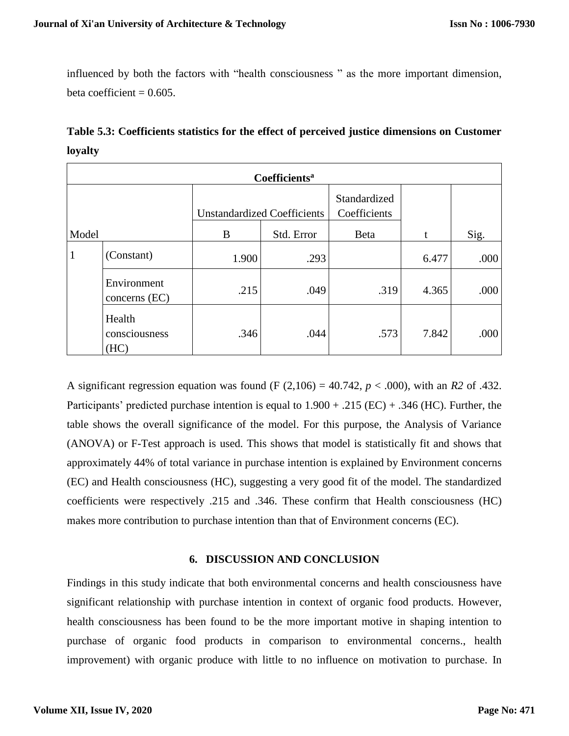influenced by both the factors with "health consciousness " as the more important dimension, beta coefficient  $= 0.605$ .

| Table 5.3: Coefficients statistics for the effect of perceived justice dimensions on Customer |  |  |
|-----------------------------------------------------------------------------------------------|--|--|
| loyalty                                                                                       |  |  |

| Coefficients <sup>a</sup> |                                 |                                    |            |                              |       |      |  |
|---------------------------|---------------------------------|------------------------------------|------------|------------------------------|-------|------|--|
|                           |                                 | <b>Unstandardized Coefficients</b> |            | Standardized<br>Coefficients |       |      |  |
| Model                     |                                 | B                                  | Std. Error | Beta                         |       | Sig. |  |
| $\mathbf{1}$              | (Constant)                      | 1.900                              | .293       |                              | 6.477 | .000 |  |
|                           | Environment<br>concerns $(EC)$  | .215                               | .049       | .319                         | 4.365 | .000 |  |
|                           | Health<br>consciousness<br>(HC) | .346                               | .044       | .573                         | 7.842 | .000 |  |

A significant regression equation was found (F (2,106) = 40.742, *p* < .000), with an *R2* of .432. Participants' predicted purchase intention is equal to  $1.900 + .215$  (EC) +  $.346$  (HC). Further, the table shows the overall significance of the model. For this purpose, the Analysis of Variance (ANOVA) or F-Test approach is used. This shows that model is statistically fit and shows that approximately 44% of total variance in purchase intention is explained by Environment concerns (EC) and Health consciousness (HC), suggesting a very good fit of the model. The standardized coefficients were respectively .215 and .346. These confirm that Health consciousness (HC) makes more contribution to purchase intention than that of Environment concerns (EC).

### **6. DISCUSSION AND CONCLUSION**

Findings in this study indicate that both environmental concerns and health consciousness have significant relationship with purchase intention in context of organic food products. However, health consciousness has been found to be the more important motive in shaping intention to purchase of organic food products in comparison to environmental concerns., health improvement) with organic produce with little to no influence on motivation to purchase. In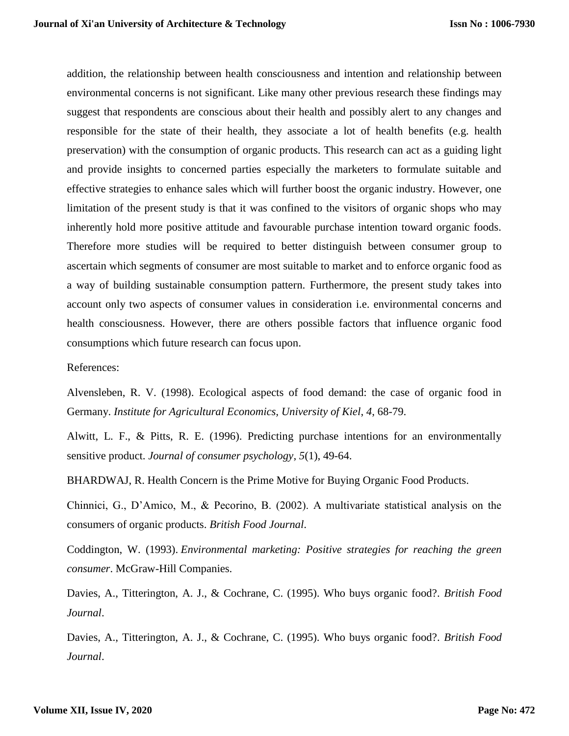addition, the relationship between health consciousness and intention and relationship between environmental concerns is not significant. Like many other previous research these findings may suggest that respondents are conscious about their health and possibly alert to any changes and responsible for the state of their health, they associate a lot of health benefits (e.g. health preservation) with the consumption of organic products. This research can act as a guiding light and provide insights to concerned parties especially the marketers to formulate suitable and effective strategies to enhance sales which will further boost the organic industry. However, one limitation of the present study is that it was confined to the visitors of organic shops who may inherently hold more positive attitude and favourable purchase intention toward organic foods. Therefore more studies will be required to better distinguish between consumer group to ascertain which segments of consumer are most suitable to market and to enforce organic food as a way of building sustainable consumption pattern. Furthermore, the present study takes into account only two aspects of consumer values in consideration i.e. environmental concerns and health consciousness. However, there are others possible factors that influence organic food consumptions which future research can focus upon.

References:

Alvensleben, R. V. (1998). Ecological aspects of food demand: the case of organic food in Germany. *Institute for Agricultural Economics, University of Kiel*, *4*, 68-79.

Alwitt, L. F., & Pitts, R. E. (1996). Predicting purchase intentions for an environmentally sensitive product. *Journal of consumer psychology*, *5*(1), 49-64.

BHARDWAJ, R. Health Concern is the Prime Motive for Buying Organic Food Products.

Chinnici, G., D'Amico, M., & Pecorino, B. (2002). A multivariate statistical analysis on the consumers of organic products. *British Food Journal*.

Coddington, W. (1993). *Environmental marketing: Positive strategies for reaching the green consumer*. McGraw-Hill Companies.

Davies, A., Titterington, A. J., & Cochrane, C. (1995). Who buys organic food?. *British Food Journal*.

Davies, A., Titterington, A. J., & Cochrane, C. (1995). Who buys organic food?. *British Food Journal*.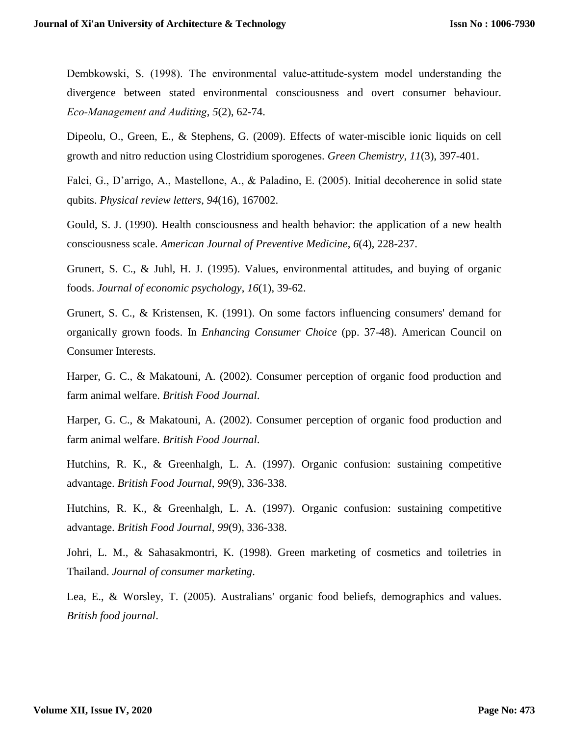Dembkowski, S. (1998). The environmental value-attitude-system model understanding the divergence between stated environmental consciousness and overt consumer behaviour. *Eco‐Management and Auditing*, *5*(2), 62-74.

Dipeolu, O., Green, E., & Stephens, G. (2009). Effects of water-miscible ionic liquids on cell growth and nitro reduction using Clostridium sporogenes. *Green Chemistry*, *11*(3), 397-401.

Falci, G., D'arrigo, A., Mastellone, A., & Paladino, E. (2005). Initial decoherence in solid state qubits. *Physical review letters*, *94*(16), 167002.

Gould, S. J. (1990). Health consciousness and health behavior: the application of a new health consciousness scale. *American Journal of Preventive Medicine*, *6*(4), 228-237.

Grunert, S. C., & Juhl, H. J. (1995). Values, environmental attitudes, and buying of organic foods. *Journal of economic psychology*, *16*(1), 39-62.

Grunert, S. C., & Kristensen, K. (1991). On some factors influencing consumers' demand for organically grown foods. In *Enhancing Consumer Choice* (pp. 37-48). American Council on Consumer Interests.

Harper, G. C., & Makatouni, A. (2002). Consumer perception of organic food production and farm animal welfare. *British Food Journal*.

Harper, G. C., & Makatouni, A. (2002). Consumer perception of organic food production and farm animal welfare. *British Food Journal*.

Hutchins, R. K., & Greenhalgh, L. A. (1997). Organic confusion: sustaining competitive advantage. *British Food Journal*, *99*(9), 336-338.

Hutchins, R. K., & Greenhalgh, L. A. (1997). Organic confusion: sustaining competitive advantage. *British Food Journal*, *99*(9), 336-338.

Johri, L. M., & Sahasakmontri, K. (1998). Green marketing of cosmetics and toiletries in Thailand. *Journal of consumer marketing*.

Lea, E., & Worsley, T. (2005). Australians' organic food beliefs, demographics and values. *British food journal*.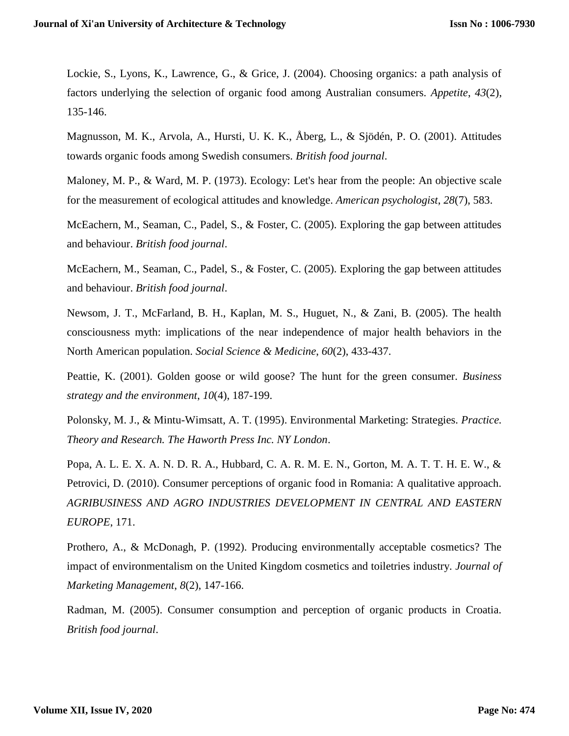Lockie, S., Lyons, K., Lawrence, G., & Grice, J. (2004). Choosing organics: a path analysis of factors underlying the selection of organic food among Australian consumers. *Appetite*, *43*(2), 135-146.

Magnusson, M. K., Arvola, A., Hursti, U. K. K., Åberg, L., & Sjödén, P. O. (2001). Attitudes towards organic foods among Swedish consumers. *British food journal*.

Maloney, M. P., & Ward, M. P. (1973). Ecology: Let's hear from the people: An objective scale for the measurement of ecological attitudes and knowledge. *American psychologist*, *28*(7), 583.

McEachern, M., Seaman, C., Padel, S., & Foster, C. (2005). Exploring the gap between attitudes and behaviour. *British food journal*.

McEachern, M., Seaman, C., Padel, S., & Foster, C. (2005). Exploring the gap between attitudes and behaviour. *British food journal*.

Newsom, J. T., McFarland, B. H., Kaplan, M. S., Huguet, N., & Zani, B. (2005). The health consciousness myth: implications of the near independence of major health behaviors in the North American population. *Social Science & Medicine*, *60*(2), 433-437.

Peattie, K. (2001). Golden goose or wild goose? The hunt for the green consumer. *Business strategy and the environment*, *10*(4), 187-199.

Polonsky, M. J., & Mintu-Wimsatt, A. T. (1995). Environmental Marketing: Strategies. *Practice. Theory and Research. The Haworth Press Inc. NY London*.

Popa, A. L. E. X. A. N. D. R. A., Hubbard, C. A. R. M. E. N., Gorton, M. A. T. T. H. E. W., & Petrovici, D. (2010). Consumer perceptions of organic food in Romania: A qualitative approach. *AGRIBUSINESS AND AGRO INDUSTRIES DEVELOPMENT IN CENTRAL AND EASTERN EUROPE*, 171.

Prothero, A., & McDonagh, P. (1992). Producing environmentally acceptable cosmetics? The impact of environmentalism on the United Kingdom cosmetics and toiletries industry. *Journal of Marketing Management*, *8*(2), 147-166.

Radman, M. (2005). Consumer consumption and perception of organic products in Croatia. *British food journal*.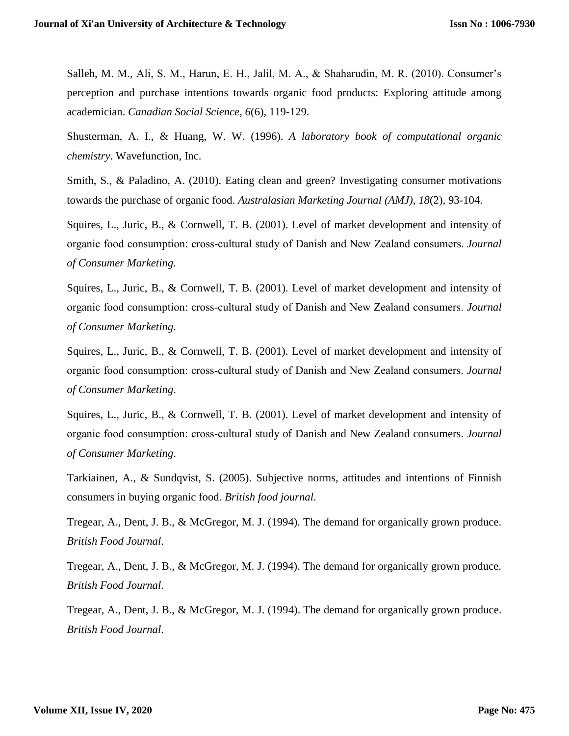Salleh, M. M., Ali, S. M., Harun, E. H., Jalil, M. A., & Shaharudin, M. R. (2010). Consumer's perception and purchase intentions towards organic food products: Exploring attitude among academician. *Canadian Social Science*, *6*(6), 119-129.

Shusterman, A. I., & Huang, W. W. (1996). *A laboratory book of computational organic chemistry*. Wavefunction, Inc.

Smith, S., & Paladino, A. (2010). Eating clean and green? Investigating consumer motivations towards the purchase of organic food. *Australasian Marketing Journal (AMJ)*, *18*(2), 93-104.

Squires, L., Juric, B., & Cornwell, T. B. (2001). Level of market development and intensity of organic food consumption: cross‐cultural study of Danish and New Zealand consumers. *Journal of Consumer Marketing*.

Squires, L., Juric, B., & Cornwell, T. B. (2001). Level of market development and intensity of organic food consumption: cross‐cultural study of Danish and New Zealand consumers. *Journal of Consumer Marketing*.

Squires, L., Juric, B., & Cornwell, T. B. (2001). Level of market development and intensity of organic food consumption: cross‐cultural study of Danish and New Zealand consumers. *Journal of Consumer Marketing*.

Squires, L., Juric, B., & Cornwell, T. B. (2001). Level of market development and intensity of organic food consumption: cross‐cultural study of Danish and New Zealand consumers. *Journal of Consumer Marketing*.

Tarkiainen, A., & Sundqvist, S. (2005). Subjective norms, attitudes and intentions of Finnish consumers in buying organic food. *British food journal*.

Tregear, A., Dent, J. B., & McGregor, M. J. (1994). The demand for organically grown produce. *British Food Journal*.

Tregear, A., Dent, J. B., & McGregor, M. J. (1994). The demand for organically grown produce. *British Food Journal*.

Tregear, A., Dent, J. B., & McGregor, M. J. (1994). The demand for organically grown produce. *British Food Journal*.